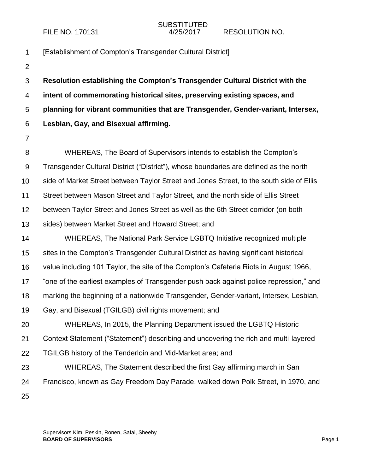## SUBSTITUTED FILE NO. 170131 4/25/2017 RESOLUTION NO.

1 2 3 4 5 6 7 8 9 10 11 12 13 14 15 16 17 18 19 20 21 22 23 24 25 [Establishment of Compton's Transgender Cultural District] **Resolution establishing the Compton's Transgender Cultural District with the intent of commemorating historical sites, preserving existing spaces, and planning for vibrant communities that are Transgender, Gender-variant, Intersex, Lesbian, Gay, and Bisexual affirming.**  WHEREAS, The Board of Supervisors intends to establish the Compton's Transgender Cultural District ("District"), whose boundaries are defined as the north side of Market Street between Taylor Street and Jones Street, to the south side of Ellis Street between Mason Street and Taylor Street, and the north side of Ellis Street between Taylor Street and Jones Street as well as the 6th Street corridor (on both sides) between Market Street and Howard Street; and WHEREAS, The National Park Service LGBTQ Initiative recognized multiple sites in the Compton's Transgender Cultural District as having significant historical value including 101 Taylor, the site of the Compton's Cafeteria Riots in August 1966, "one of the earliest examples of Transgender push back against police repression," and marking the beginning of a nationwide Transgender, Gender-variant, Intersex, Lesbian, Gay, and Bisexual (TGILGB) civil rights movement; and WHEREAS, In 2015, the Planning Department issued the LGBTQ Historic Context Statement ("Statement") describing and uncovering the rich and multi-layered TGILGB history of the Tenderloin and Mid-Market area; and WHEREAS, The Statement described the first Gay affirming march in San Francisco, known as Gay Freedom Day Parade, walked down Polk Street, in 1970, and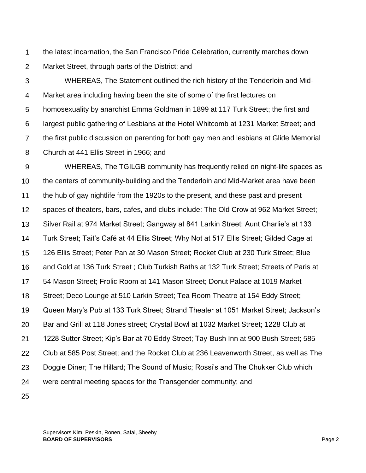1 2 the latest incarnation, the San Francisco Pride Celebration, currently marches down Market Street, through parts of the District; and

3 4 5 6 7 8 WHEREAS, The Statement outlined the rich history of the Tenderloin and Mid-Market area including having been the site of some of the first lectures on homosexuality by anarchist Emma Goldman in 1899 at 117 Turk Street; the first and largest public gathering of Lesbians at the Hotel Whitcomb at 1231 Market Street; and the first public discussion on parenting for both gay men and lesbians at Glide Memorial Church at 441 Ellis Street in 1966; and

9 10 11 12 13 14 15 16 17 18 19 20 21 22 23 24 WHEREAS, The TGILGB community has frequently relied on night-life spaces as the centers of community-building and the Tenderloin and Mid-Market area have been the hub of gay nightlife from the 1920s to the present, and these past and present spaces of theaters, bars, cafes, and clubs include: The Old Crow at 962 Market Street; Silver Rail at 974 Market Street; Gangway at 841 Larkin Street; Aunt Charlie's at 133 Turk Street; Tait's Café at 44 Ellis Street; Why Not at 517 Ellis Street; Gilded Cage at 126 Ellis Street; Peter Pan at 30 Mason Street; Rocket Club at 230 Turk Street; Blue and Gold at 136 Turk Street ; Club Turkish Baths at 132 Turk Street; Streets of Paris at 54 Mason Street; Frolic Room at 141 Mason Street; Donut Palace at 1019 Market Street; Deco Lounge at 510 Larkin Street; Tea Room Theatre at 154 Eddy Street; Queen Mary's Pub at 133 Turk Street; Strand Theater at 1051 Market Street; Jackson's Bar and Grill at 118 Jones street; Crystal Bowl at 1032 Market Street; 1228 Club at 1228 Sutter Street; Kip's Bar at 70 Eddy Street; Tay-Bush Inn at 900 Bush Street; 585 Club at 585 Post Street; and the Rocket Club at 236 Leavenworth Street, as well as The Doggie Diner; The Hillard; The Sound of Music; Rossi's and The Chukker Club which were central meeting spaces for the Transgender community; and

25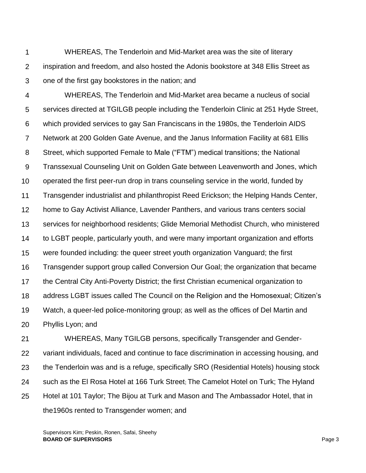1 2 3 WHEREAS, The Tenderloin and Mid-Market area was the site of literary inspiration and freedom, and also hosted the Adonis bookstore at 348 Ellis Street as one of the first gay bookstores in the nation; and

4 5 6 7 8 9 10 11 12 13 14 15 16 17 18 19 20 WHEREAS, The Tenderloin and Mid-Market area became a nucleus of social services directed at TGILGB people including the Tenderloin Clinic at 251 Hyde Street, which provided services to gay San Franciscans in the 1980s, the Tenderloin AIDS Network at 200 Golden Gate Avenue, and the Janus Information Facility at 681 Ellis Street, which supported Female to Male ("FTM") medical transitions; the National Transsexual Counseling Unit on Golden Gate between Leavenworth and Jones, which operated the first peer-run drop in trans counseling service in the world, funded by Transgender industrialist and philanthropist Reed Erickson; the Helping Hands Center, home to Gay Activist Alliance, Lavender Panthers, and various trans centers social services for neighborhood residents; Glide Memorial Methodist Church, who ministered to LGBT people, particularly youth, and were many important organization and efforts were founded including: the queer street youth organization Vanguard; the first Transgender support group called Conversion Our Goal; the organization that became the Central City Anti-Poverty District; the first Christian ecumenical organization to address LGBT issues called The Council on the Religion and the Homosexual; Citizen's Watch, a queer-led police-monitoring group; as well as the offices of Del Martin and Phyllis Lyon; and

21 22 23 24 25 WHEREAS, Many TGILGB persons, specifically Transgender and Gendervariant individuals, faced and continue to face discrimination in accessing housing, and the Tenderloin was and is a refuge, specifically SRO (Residential Hotels) housing stock such as the El Rosa Hotel at 166 Turk Street; The Camelot Hotel on Turk; The Hyland Hotel at 101 Taylor; The Bijou at Turk and Mason and The Ambassador Hotel, that in the1960s rented to Transgender women; and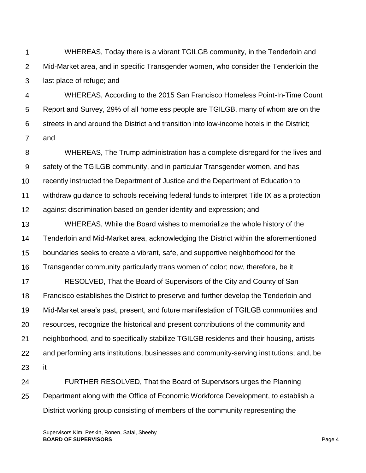1 2 3 WHEREAS, Today there is a vibrant TGILGB community, in the Tenderloin and Mid-Market area, and in specific Transgender women, who consider the Tenderloin the last place of refuge; and

4 5 6 7 WHEREAS, According to the 2015 San Francisco Homeless Point-In-Time Count Report and Survey, 29% of all homeless people are TGILGB, many of whom are on the streets in and around the District and transition into low-income hotels in the District; and

8 9 10 11 12 13 14 15 16 17 18 19 20 21 22 23 WHEREAS, The Trump administration has a complete disregard for the lives and safety of the TGILGB community, and in particular Transgender women, and has recently instructed the Department of Justice and the Department of Education to withdraw guidance to schools receiving federal funds to interpret Title IX as a protection against discrimination based on gender identity and expression; and WHEREAS, While the Board wishes to memorialize the whole history of the Tenderloin and Mid-Market area, acknowledging the District within the aforementioned boundaries seeks to create a vibrant, safe, and supportive neighborhood for the Transgender community particularly trans women of color; now, therefore, be it RESOLVED, That the Board of Supervisors of the City and County of San Francisco establishes the District to preserve and further develop the Tenderloin and Mid-Market area's past, present, and future manifestation of TGILGB communities and resources, recognize the historical and present contributions of the community and neighborhood, and to specifically stabilize TGILGB residents and their housing, artists and performing arts institutions, businesses and community-serving institutions; and, be it

24 25 FURTHER RESOLVED, That the Board of Supervisors urges the Planning Department along with the Office of Economic Workforce Development, to establish a District working group consisting of members of the community representing the